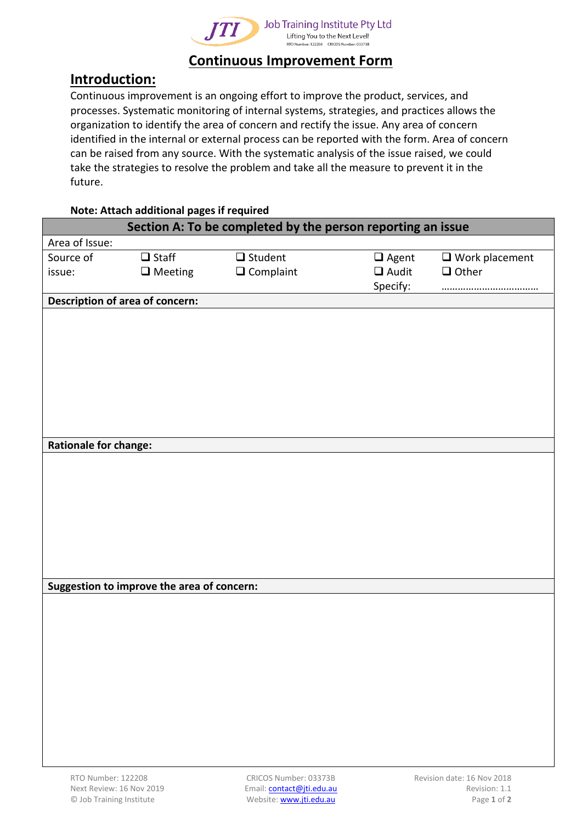

## **Continuous Improvement Form**

## **Introduction:**

Continuous improvement is an ongoing effort to improve the product, services, and processes. Systematic monitoring of internal systems, strategies, and practices allows the organization to identify the area of concern and rectify the issue. Any area of concern identified in the internal or external process can be reported with the form. Area of concern can be raised from any source. With the systematic analysis of the issue raised, we could take the strategies to resolve the problem and take all the measure to prevent it in the future.

| Note: Attach additional pages if required |  |
|-------------------------------------------|--|
|-------------------------------------------|--|

| Section A: To be completed by the person reporting an issue |                                            |                                    |                              |                                          |  |
|-------------------------------------------------------------|--------------------------------------------|------------------------------------|------------------------------|------------------------------------------|--|
| Area of Issue:                                              |                                            |                                    |                              |                                          |  |
| Source of<br>issue:                                         | $\Box$ Staff<br>$\Box$ Meeting             | $\Box$ Student<br>$\Box$ Complaint | $\Box$ Agent<br>$\Box$ Audit | $\square$ Work placement<br>$\Box$ Other |  |
|                                                             |                                            |                                    | Specify:                     |                                          |  |
|                                                             | Description of area of concern:            |                                    |                              |                                          |  |
|                                                             |                                            |                                    |                              |                                          |  |
|                                                             |                                            |                                    |                              |                                          |  |
|                                                             |                                            |                                    |                              |                                          |  |
|                                                             |                                            |                                    |                              |                                          |  |
|                                                             |                                            |                                    |                              |                                          |  |
|                                                             |                                            |                                    |                              |                                          |  |
|                                                             |                                            |                                    |                              |                                          |  |
|                                                             |                                            |                                    |                              |                                          |  |
| <b>Rationale for change:</b>                                |                                            |                                    |                              |                                          |  |
|                                                             |                                            |                                    |                              |                                          |  |
|                                                             |                                            |                                    |                              |                                          |  |
|                                                             |                                            |                                    |                              |                                          |  |
|                                                             |                                            |                                    |                              |                                          |  |
|                                                             |                                            |                                    |                              |                                          |  |
|                                                             |                                            |                                    |                              |                                          |  |
|                                                             |                                            |                                    |                              |                                          |  |
|                                                             |                                            |                                    |                              |                                          |  |
|                                                             | Suggestion to improve the area of concern: |                                    |                              |                                          |  |
|                                                             |                                            |                                    |                              |                                          |  |
|                                                             |                                            |                                    |                              |                                          |  |
|                                                             |                                            |                                    |                              |                                          |  |
|                                                             |                                            |                                    |                              |                                          |  |
|                                                             |                                            |                                    |                              |                                          |  |
|                                                             |                                            |                                    |                              |                                          |  |
|                                                             |                                            |                                    |                              |                                          |  |
|                                                             |                                            |                                    |                              |                                          |  |
|                                                             |                                            |                                    |                              |                                          |  |
|                                                             |                                            |                                    |                              |                                          |  |
|                                                             |                                            |                                    |                              |                                          |  |